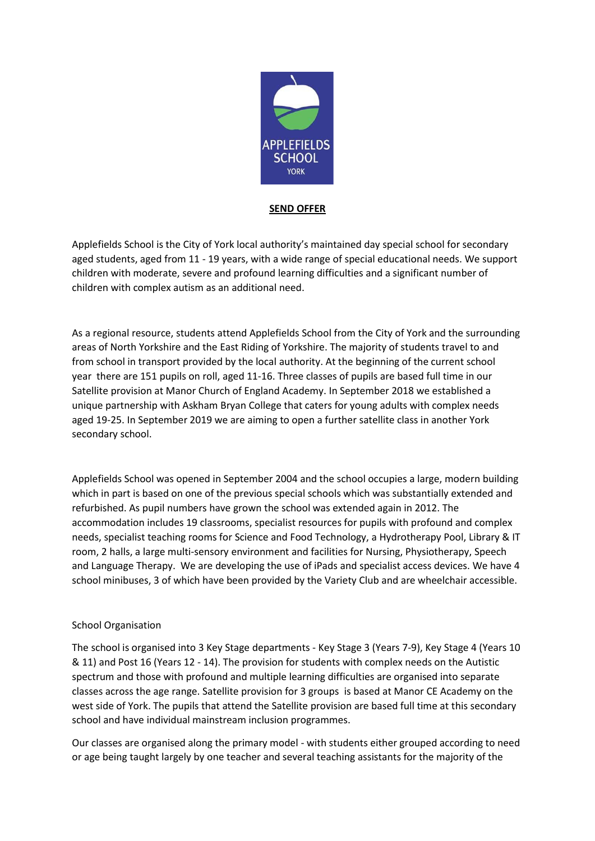

# **SEND OFFER**

Applefields School is the City of York local authority's maintained day special school for secondary aged students, aged from 11 - 19 years, with a wide range of special educational needs. We support children with moderate, severe and profound learning difficulties and a significant number of children with complex autism as an additional need.

As a regional resource, students attend Applefields School from the City of York and the surrounding areas of North Yorkshire and the East Riding of Yorkshire. The majority of students travel to and from school in transport provided by the local authority. At the beginning of the current school year there are 151 pupils on roll, aged 11-16. Three classes of pupils are based full time in our Satellite provision at Manor Church of England Academy. In September 2018 we established a unique partnership with Askham Bryan College that caters for young adults with complex needs aged 19-25. In September 2019 we are aiming to open a further satellite class in another York secondary school.

Applefields School was opened in September 2004 and the school occupies a large, modern building which in part is based on one of the previous special schools which was substantially extended and refurbished. As pupil numbers have grown the school was extended again in 2012. The accommodation includes 19 classrooms, specialist resources for pupils with profound and complex needs, specialist teaching rooms for Science and Food Technology, a Hydrotherapy Pool, Library & IT room, 2 halls, a large multi-sensory environment and facilities for Nursing, Physiotherapy, Speech and Language Therapy. We are developing the use of iPads and specialist access devices. We have 4 school minibuses, 3 of which have been provided by the Variety Club and are wheelchair accessible.

### School Organisation

The school is organised into 3 Key Stage departments - Key Stage 3 (Years 7-9), Key Stage 4 (Years 10 & 11) and Post 16 (Years 12 - 14). The provision for students with complex needs on the Autistic spectrum and those with profound and multiple learning difficulties are organised into separate classes across the age range. Satellite provision for 3 groups is based at Manor CE Academy on the west side of York. The pupils that attend the Satellite provision are based full time at this secondary school and have individual mainstream inclusion programmes.

Our classes are organised along the primary model - with students either grouped according to need or age being taught largely by one teacher and several teaching assistants for the majority of the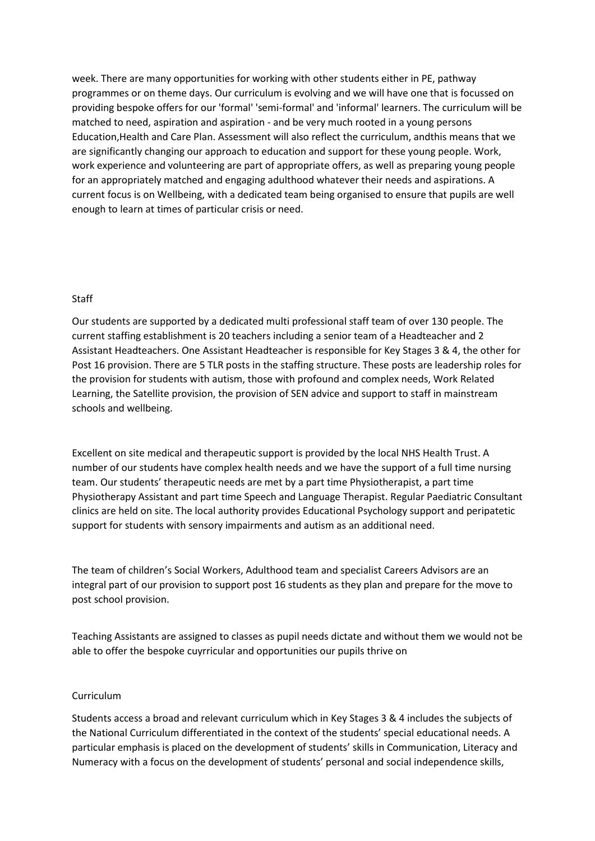week. There are many opportunities for working with other students either in PE, pathway programmes or on theme days. Our curriculum is evolving and we will have one that is focussed on providing bespoke offers for our 'formal' 'semi-formal' and 'informal' learners. The curriculum will be matched to need, aspiration and aspiration - and be very much rooted in a young persons Education,Health and Care Plan. Assessment will also reflect the curriculum, andthis means that we are significantly changing our approach to education and support for these young people. Work, work experience and volunteering are part of appropriate offers, as well as preparing young people for an appropriately matched and engaging adulthood whatever their needs and aspirations. A current focus is on Wellbeing, with a dedicated team being organised to ensure that pupils are well enough to learn at times of particular crisis or need.

#### Staff

Our students are supported by a dedicated multi professional staff team of over 130 people. The current staffing establishment is 20 teachers including a senior team of a Headteacher and 2 Assistant Headteachers. One Assistant Headteacher is responsible for Key Stages 3 & 4, the other for Post 16 provision. There are 5 TLR posts in the staffing structure. These posts are leadership roles for the provision for students with autism, those with profound and complex needs, Work Related Learning, the Satellite provision, the provision of SEN advice and support to staff in mainstream schools and wellbeing.

Excellent on site medical and therapeutic support is provided by the local NHS Health Trust. A number of our students have complex health needs and we have the support of a full time nursing team. Our students' therapeutic needs are met by a part time Physiotherapist, a part time Physiotherapy Assistant and part time Speech and Language Therapist. Regular Paediatric Consultant clinics are held on site. The local authority provides Educational Psychology support and peripatetic support for students with sensory impairments and autism as an additional need.

The team of children's Social Workers, Adulthood team and specialist Careers Advisors are an integral part of our provision to support post 16 students as they plan and prepare for the move to post school provision.

Teaching Assistants are assigned to classes as pupil needs dictate and without them we would not be able to offer the bespoke cuyrricular and opportunities our pupils thrive on

## Curriculum

Students access a broad and relevant curriculum which in Key Stages 3 & 4 includes the subjects of the National Curriculum differentiated in the context of the students' special educational needs. A particular emphasis is placed on the development of students' skills in Communication, Literacy and Numeracy with a focus on the development of students' personal and social independence skills,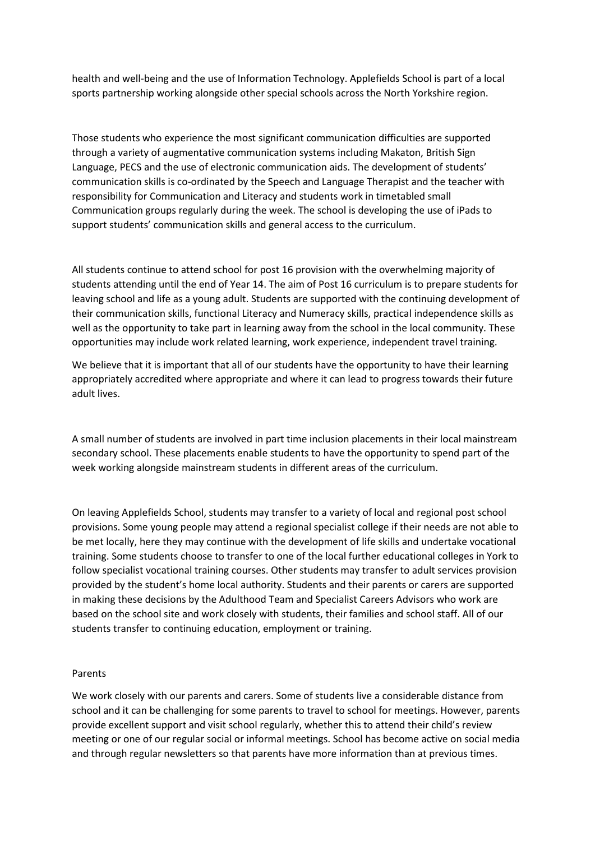health and well-being and the use of Information Technology. Applefields School is part of a local sports partnership working alongside other special schools across the North Yorkshire region.

Those students who experience the most significant communication difficulties are supported through a variety of augmentative communication systems including Makaton, British Sign Language, PECS and the use of electronic communication aids. The development of students' communication skills is co-ordinated by the Speech and Language Therapist and the teacher with responsibility for Communication and Literacy and students work in timetabled small Communication groups regularly during the week. The school is developing the use of iPads to support students' communication skills and general access to the curriculum.

All students continue to attend school for post 16 provision with the overwhelming majority of students attending until the end of Year 14. The aim of Post 16 curriculum is to prepare students for leaving school and life as a young adult. Students are supported with the continuing development of their communication skills, functional Literacy and Numeracy skills, practical independence skills as well as the opportunity to take part in learning away from the school in the local community. These opportunities may include work related learning, work experience, independent travel training.

We believe that it is important that all of our students have the opportunity to have their learning appropriately accredited where appropriate and where it can lead to progress towards their future adult lives.

A small number of students are involved in part time inclusion placements in their local mainstream secondary school. These placements enable students to have the opportunity to spend part of the week working alongside mainstream students in different areas of the curriculum.

On leaving Applefields School, students may transfer to a variety of local and regional post school provisions. Some young people may attend a regional specialist college if their needs are not able to be met locally, here they may continue with the development of life skills and undertake vocational training. Some students choose to transfer to one of the local further educational colleges in York to follow specialist vocational training courses. Other students may transfer to adult services provision provided by the student's home local authority. Students and their parents or carers are supported in making these decisions by the Adulthood Team and Specialist Careers Advisors who work are based on the school site and work closely with students, their families and school staff. All of our students transfer to continuing education, employment or training.

### Parents

We work closely with our parents and carers. Some of students live a considerable distance from school and it can be challenging for some parents to travel to school for meetings. However, parents provide excellent support and visit school regularly, whether this to attend their child's review meeting or one of our regular social or informal meetings. School has become active on social media and through regular newsletters so that parents have more information than at previous times.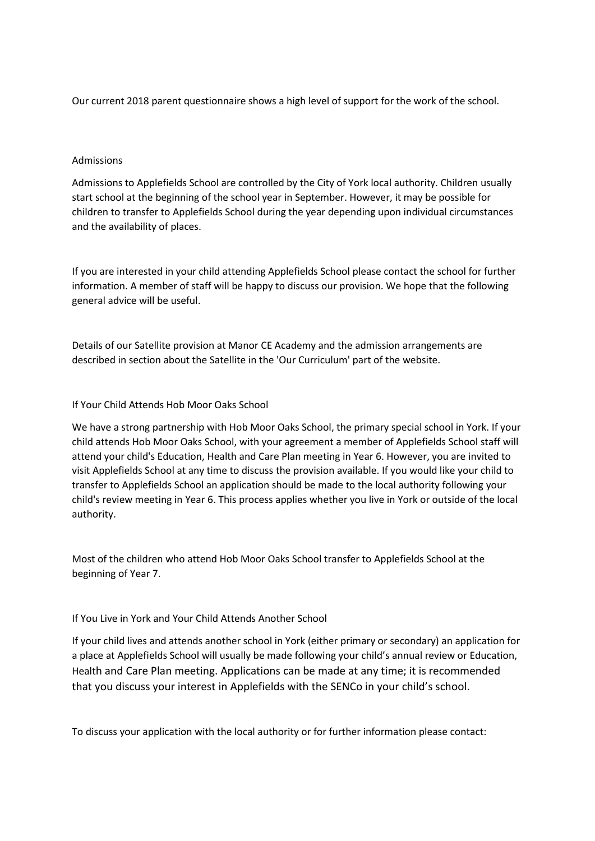Our current 2018 parent questionnaire shows a high level of support for the work of the school.

### Admissions

Admissions to Applefields School are controlled by the City of York local authority. Children usually start school at the beginning of the school year in September. However, it may be possible for children to transfer to Applefields School during the year depending upon individual circumstances and the availability of places.

If you are interested in your child attending Applefields School please contact the school for further information. A member of staff will be happy to discuss our provision. We hope that the following general advice will be useful.

Details of our Satellite provision at Manor CE Academy and the admission arrangements are described in section about the Satellite in the 'Our Curriculum' part of the website.

### If Your Child Attends Hob Moor Oaks School

We have a strong partnership with Hob Moor Oaks School, the primary special school in York. If your child attends Hob Moor Oaks School, with your agreement a member of Applefields School staff will attend your child's Education, Health and Care Plan meeting in Year 6. However, you are invited to visit Applefields School at any time to discuss the provision available. If you would like your child to transfer to Applefields School an application should be made to the local authority following your child's review meeting in Year 6. This process applies whether you live in York or outside of the local authority.

Most of the children who attend Hob Moor Oaks School transfer to Applefields School at the beginning of Year 7.

### If You Live in York and Your Child Attends Another School

If your child lives and attends another school in York (either primary or secondary) an application for a place at Applefields School will usually be made following your child's annual review or Education, Health and Care Plan meeting. Applications can be made at any time; it is recommended that you discuss your interest in Applefields with the SENCo in your child's school.

To discuss your application with the local authority or for further information please contact: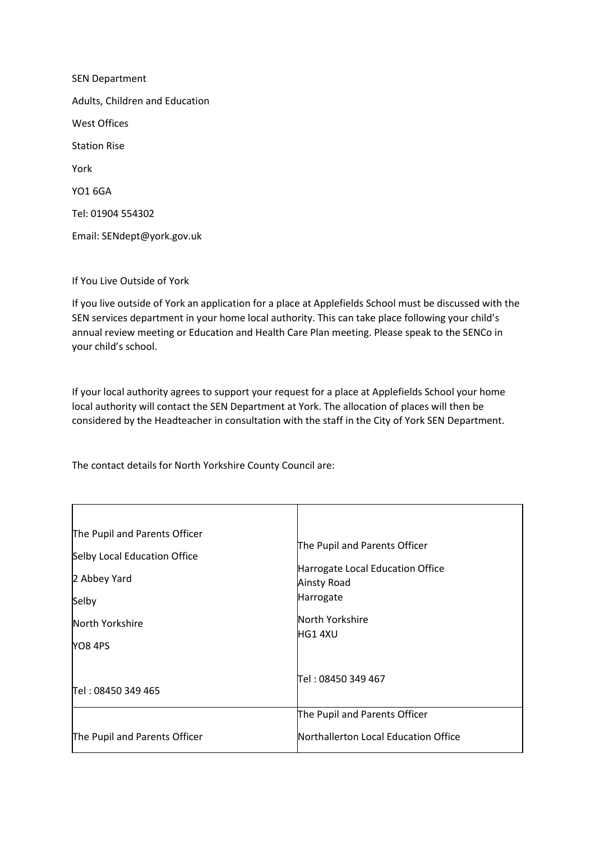SEN Department Adults, Children and Education West Offices Station Rise York YO1 6GA Tel: 01904 554302 Email: SENdept@york.gov.uk

If You Live Outside of York

If you live outside of York an application for a place at Applefields School must be discussed with the SEN services department in your home local authority. This can take place following your child's annual review meeting or Education and Health Care Plan meeting. Please speak to the SENCo in your child's school.

If your local authority agrees to support your request for a place at Applefields School your home local authority will contact the SEN Department at York. The allocation of places will then be considered by the Headteacher in consultation with the staff in the City of York SEN Department.

The contact details for North Yorkshire County Council are:

| The Pupil and Parents Officer |                                      |
|-------------------------------|--------------------------------------|
| Selby Local Education Office  | The Pupil and Parents Officer        |
| 2 Abbey Yard                  | Harrogate Local Education Office     |
|                               | Ainsty Road                          |
| Selby                         | Harrogate                            |
| North Yorkshire               | North Yorkshire                      |
| YO8 4PS                       | HG1 4XU                              |
|                               |                                      |
|                               | Tel : 08450 349 467                  |
| Tel: 08450 349 465            |                                      |
|                               | The Pupil and Parents Officer        |
| The Pupil and Parents Officer | Northallerton Local Education Office |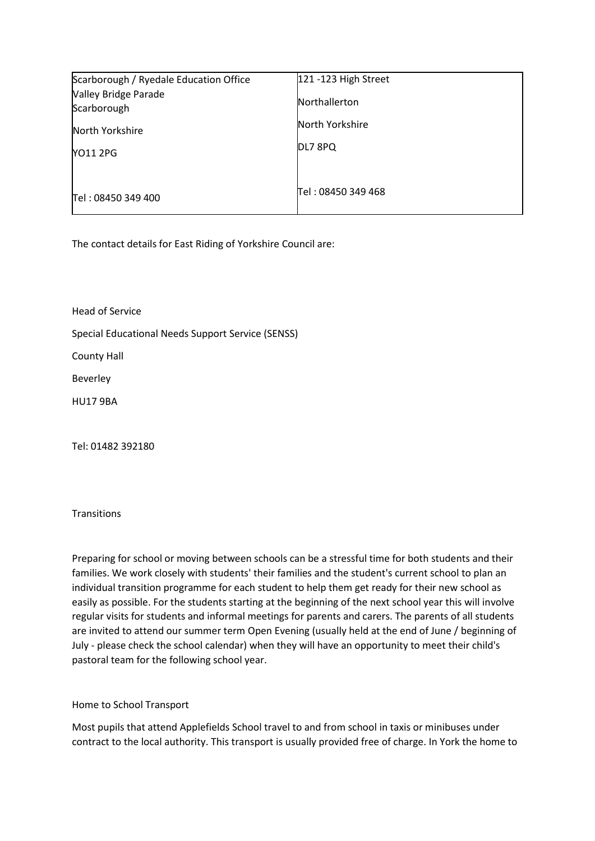| Scarborough / Ryedale Education Office | 121 -123 High Street |
|----------------------------------------|----------------------|
| Valley Bridge Parade<br>Scarborough    | <b>Northallerton</b> |
| North Yorkshire                        | North Yorkshire      |
| <b>NO11 2PG</b>                        | DL7 8PQ              |
| Tel: 08450 349 400                     | Tel: 08450 349 468   |

The contact details for East Riding of Yorkshire Council are:

Head of Service

Special Educational Needs Support Service (SENSS)

County Hall

Beverley

HU17 9BA

Tel: 01482 392180

**Transitions** 

Preparing for school or moving between schools can be a stressful time for both students and their families. We work closely with students' their families and the student's current school to plan an individual transition programme for each student to help them get ready for their new school as easily as possible. For the students starting at the beginning of the next school year this will involve regular visits for students and informal meetings for parents and carers. The parents of all students are invited to attend our summer term Open Evening (usually held at the end of June / beginning of July - please check the school calendar) when they will have an opportunity to meet their child's pastoral team for the following school year.

Home to School Transport

Most pupils that attend Applefields School travel to and from school in taxis or minibuses under contract to the local authority. This transport is usually provided free of charge. In York the home to